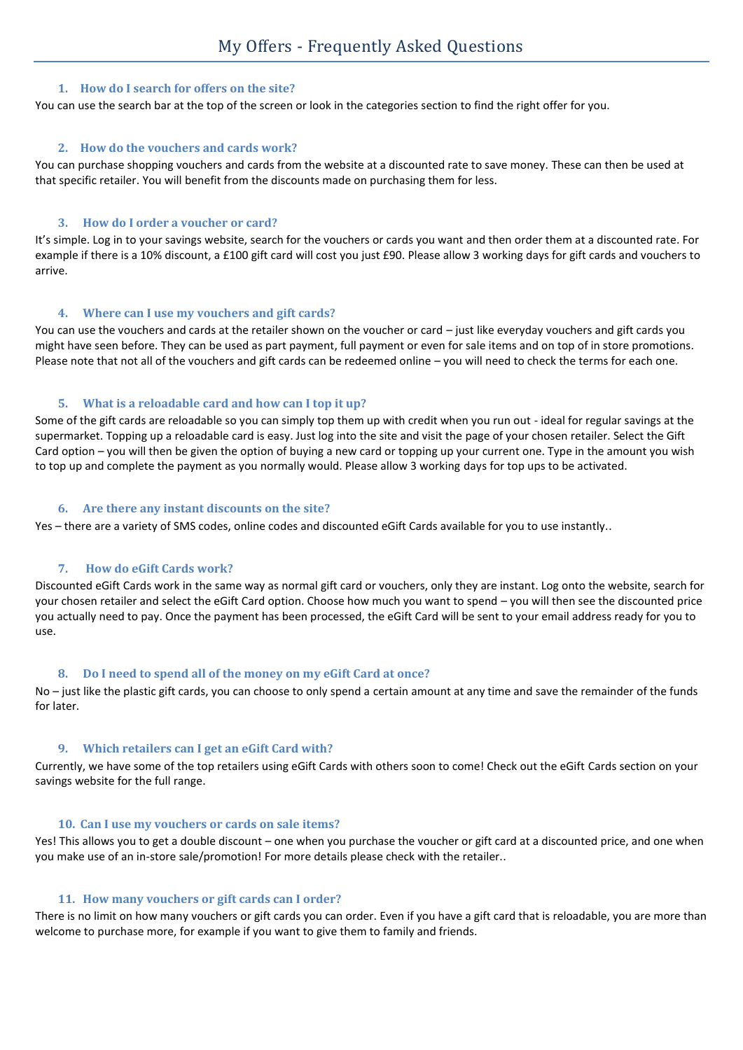### **1. How do I search for offers on the site?**

You can use the search bar at the top of the screen or look in the categories section to find the right offer for you.

# **2. How do the vouchers and cards work?**

You can purchase shopping vouchers and cards from the website at a discounted rate to save money. These can then be used at that specific retailer. You will benefit from the discounts made on purchasing them for less.

## **3. How do I order a voucher or card?**

It's simple. Log in to your savings website, search for the vouchers or cards you want and then order them at a discounted rate. For example if there is a 10% discount, a £100 gift card will cost you just £90. Please allow 3 working days for gift cards and vouchers to arrive.

# **4. Where can I use my vouchers and gift cards?**

You can use the vouchers and cards at the retailer shown on the voucher or card – just like everyday vouchers and gift cards you might have seen before. They can be used as part payment, full payment or even for sale items and on top of in store promotions. Please note that not all of the vouchers and gift cards can be redeemed online – you will need to check the terms for each one.

# **5. What is a reloadable card and how can I top it up?**

Some of the gift cards are reloadable so you can simply top them up with credit when you run out - ideal for regular savings at the supermarket. Topping up a reloadable card is easy. Just log into the site and visit the page of your chosen retailer. Select the Gift Card option – you will then be given the option of buying a new card or topping up your current one. Type in the amount you wish to top up and complete the payment as you normally would. Please allow 3 working days for top ups to be activated.

### **6. Are there any instant discounts on the site?**

Yes – there are a variety of SMS codes, online codes and discounted eGift Cards available for you to use instantly..

### **7. How do eGift Cards work?**

Discounted eGift Cards work in the same way as normal gift card or vouchers, only they are instant. Log onto the website, search for your chosen retailer and select the eGift Card option. Choose how much you want to spend – you will then see the discounted price you actually need to pay. Once the payment has been processed, the eGift Card will be sent to your email address ready for you to use.

### **8. Do I need to spend all of the money on my eGift Card at once?**

No – just like the plastic gift cards, you can choose to only spend a certain amount at any time and save the remainder of the funds for later.

### **9. Which retailers can I get an eGift Card with?**

Currently, we have some of the top retailers using eGift Cards with others soon to come! Check out the eGift Cards section on your savings website for the full range.

### **10. Can I use my vouchers or cards on sale items?**

Yes! This allows you to get a double discount – one when you purchase the voucher or gift card at a discounted price, and one when you make use of an in-store sale/promotion! For more details please check with the retailer..

### **11. How many vouchers or gift cards can I order?**

There is no limit on how many vouchers or gift cards you can order. Even if you have a gift card that is reloadable, you are more than welcome to purchase more, for example if you want to give them to family and friends.